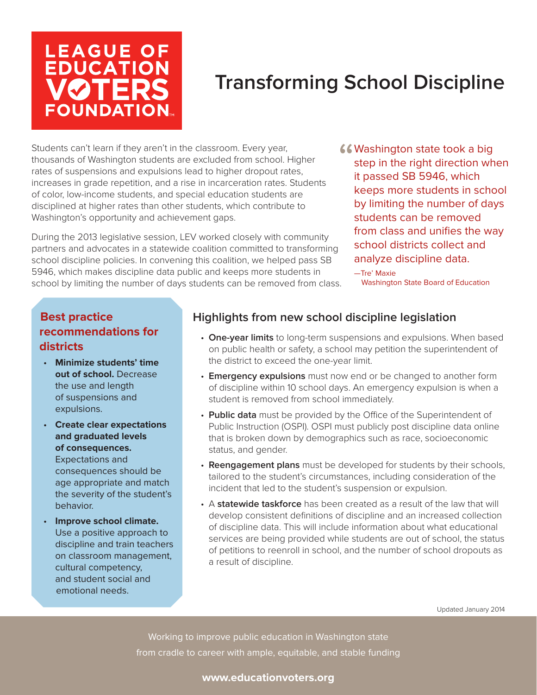# **LEAGUE OF<br>EDUCATION VØTER FOUNDATION**

# **Transforming School Discipline**

Students can't learn if they aren't in the classroom. Every year, thousands of Washington students are excluded from school. Higher rates of suspensions and expulsions lead to higher dropout rates, increases in grade repetition, and a rise in incarceration rates. Students of color, low-income students, and special education students are disciplined at higher rates than other students, which contribute to Washington's opportunity and achievement gaps.

During the 2013 legislative session, LEV worked closely with community partners and advocates in a statewide coalition committed to transforming school discipline policies. In convening this coalition, we helped pass SB 5946, which makes discipline data public and keeps more students in school by limiting the number of days students can be removed from class.

- **"** Washington state took a big<br>step in the right direction wh<br>it passed SB 5946, which step in the right direction when it passed SB 5946, which keeps more students in school by limiting the number of days students can be removed from class and unifies the way school districts collect and analyze discipline data.
	- —Tre' Maxie Washington State Board of Education

## **Best practice recommendations for districts**

- **Minimize students' time out of school.** Decrease the use and length of suspensions and expulsions.
- **Create clear expectations and graduated levels of consequences.**  Expectations and consequences should be age appropriate and match the severity of the student's behavior.
- **Improve school climate.** Use a positive approach to discipline and train teachers on classroom management, cultural competency, and student social and emotional needs.

# **Highlights from new school discipline legislation**

- **One-year limits** to long-term suspensions and expulsions. When based on public health or safety, a school may petition the superintendent of the district to exceed the one-year limit.
- **Emergency expulsions** must now end or be changed to another form of discipline within 10 school days. An emergency expulsion is when a student is removed from school immediately.
- **Public data** must be provided by the Office of the Superintendent of Public Instruction (OSPI). OSPI must publicly post discipline data online that is broken down by demographics such as race, socioeconomic status, and gender.
- **Reengagement plans** must be developed for students by their schools, tailored to the student's circumstances, including consideration of the incident that led to the student's suspension or expulsion.
- A **statewide taskforce** has been created as a result of the law that will develop consistent definitions of discipline and an increased collection of discipline data. This will include information about what educational services are being provided while students are out of school, the status of petitions to reenroll in school, and the number of school dropouts as a result of discipline.

Updated January 2014

Working to improve public education in Washington state from cradle to career with ample, equitable, and stable funding

#### **www.educationvoters.org**